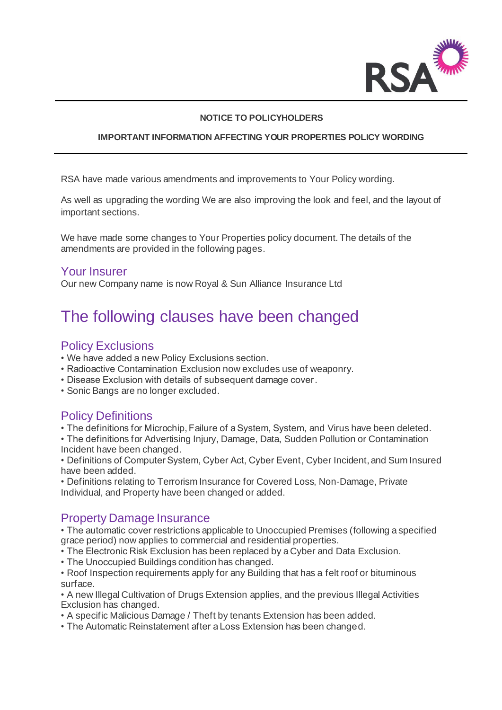

#### **NOTICE TO POLICYHOLDERS**

#### **IMPORTANT INFORMATION AFFECTING YOUR PROPERTIES POLICY WORDING**

RSA have made various amendments and improvements to Your Policy wording.

As well as upgrading the wording We are also improving the look and feel, and the layout of important sections.

We have made some changes to Your Properties policy document. The details of the amendments are provided in the following pages.

#### Your Insurer

Our new Company name is now Royal & Sun Alliance Insurance Ltd

# The following clauses have been changed

# Policy Exclusions

- We have added a new Policy Exclusions section.
- Radioactive Contamination Exclusion now excludes use of weaponry.
- Disease Exclusion with details of subsequent damage cover.
- Sonic Bangs are no longer excluded.

# Policy Definitions

• The definitions for Microchip, Failure of a System, System, and Virus have been deleted.

• The definitions for Advertising Injury, Damage, Data, Sudden Pollution or Contamination Incident have been changed.

• Definitions of Computer System, Cyber Act, Cyber Event, Cyber Incident, and Sum Insured have been added.

• Definitions relating to Terrorism Insurance for Covered Loss, Non-Damage, Private Individual, and Property have been changed or added.

### Property Damage Insurance

• The automatic cover restrictions applicable to Unoccupied Premises (following a specified grace period) now applies to commercial and residential properties.

• The Electronic Risk Exclusion has been replaced by a Cyber and Data Exclusion.

• The Unoccupied Buildings condition has changed.

• Roof Inspection requirements apply for any Building that has a felt roof or bituminous surface.

• A new Illegal Cultivation of Drugs Extension applies, and the previous Illegal Activities Exclusion has changed.

• A specific Malicious Damage / Theft by tenants Extension has been added.

• The Automatic Reinstatement after a Loss Extension has been changed.